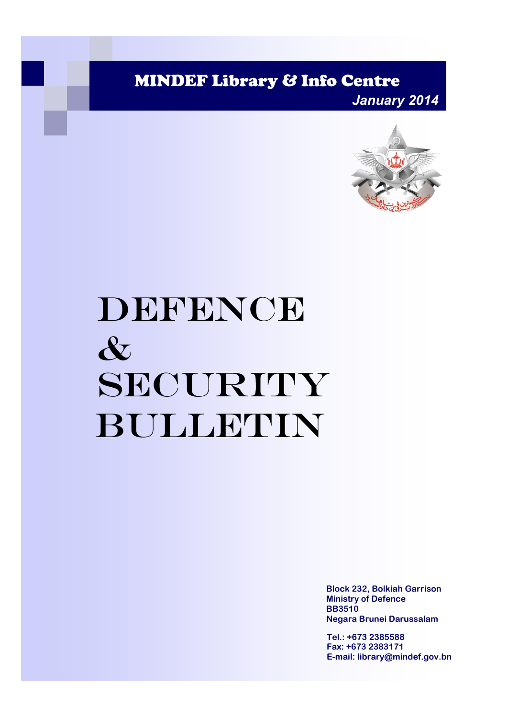MINDEF Library & Info Centre

*January 2014*



# DEFENCE & SECURITY Bulletin

**Block 232, Bolkiah Garrison Ministry of Defence BB3510 Negara Brunei Darussalam**

**Tel.: +673 2385588 Fax: +673 2383171 E-mail: library@mindef.gov.bn**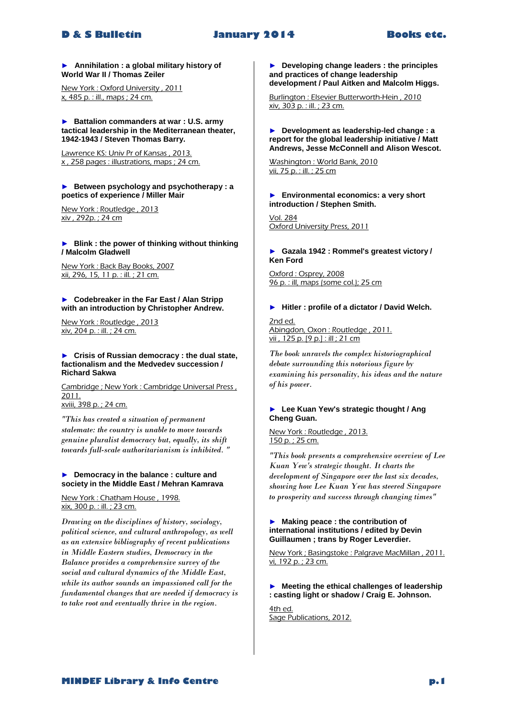# **D & S Bulletin January 2014 Books etc.**

# ► **Annihilation : a global military history of World War II / Thomas Zeiler**

New York : Oxford University , 2011 x, 485 p. : ill., maps ; 24 cm.

### ► **Battalion commanders at war : U.S. army tactical leadership in the Mediterranean theater, 1942-1943 / Steven Thomas Barry.**

Lawrence KS: Univ Pr of Kansas , 2013. x , 258 pages : illustrations, maps ; 24 cm.

### ► **Between psychology and psychotherapy : a poetics of experience / Miller Mair**

New York : Routledge , 2013 xiv , 292p. ; 24 cm

### ► **Blink : the power of thinking without thinking / Malcolm Gladwell**

New York : Back Bay Books, 2007 xii, 296, 15, 11 p. : ill. ; 21 cm.

# ► **Codebreaker in the Far East / Alan Stripp with an introduction by Christopher Andrew.**

New York : Routledge , 2013 xiv, 204 p. : ill. ; 24 cm.

### ► **Crisis of Russian democracy : the dual state, factionalism and the Medvedev succession / Richard Sakwa**

Cambridge ; New York : Cambridge Universal Press , 2011. xviii, 398 p. ; 24 cm.

*"This has created a situation of permanent stalemate: the country is unable to move towards genuine pluralist democracy but, equally, its shift towards full-scale authoritarianism is inhibited. "* 

# ► **Democracy in the balance : culture and society in the Middle East / Mehran Kamrava**

New York : Chatham House , 1998. xix, 300 p. : ill. ; 23 cm.

*Drawing on the disciplines of history, sociology, political science, and cultural anthropology, as well as an extensive bibliography of recent publications in Middle Eastern studies, Democracy in the Balance provides a comprehensive survey of the social and cultural dynamics of the Middle East, while its author sounds an impassioned call for the fundamental changes that are needed if democracy is to take root and eventually thrive in the region.* 

► **Developing change leaders : the principles and practices of change leadership development / Paul Aitken and Malcolm Higgs.**

Burlington : Elsevier Butterworth-Hein , 2010 xiv, 303 p. : ill. ; 23 cm.

### ► **Development as leadership-led change : a report for the global leadership initiative / Matt Andrews, Jesse McConnell and Alison Wescot.**

Washington : World Bank, 2010 vii, 75 p. : ill. ; 25 cm

► **Environmental economics: a very short introduction / Stephen Smith.**

Vol. 284 Oxford University Press, 2011

# ► **Gazala 1942 : Rommel's greatest victory / Ken Ford**

Oxford : Osprey, 2008 96 p. : ill, maps (some col.); 25 cm

# ► **Hitler : profile of a dictator / David Welch.**

2nd ed. Abingdon, Oxon : Routledge , 2011. vii , 125 p. [9 p.] : ill ; 21 cm

*The book unravels the complex historiographical debate surrounding this notorious figure by examining his personality, his ideas and the nature of his power.* 

# ► **Lee Kuan Yew's strategic thought / Ang Cheng Guan.**

New York : Routledge , 2013. 150 p. ; 25 cm.

*"This book presents a comprehensive overview of Lee Kuan Yew's strategic thought. It charts the development of Singapore over the last six decades, showing how Lee Kuan Yew has steered Singapore to prosperity and success through changing times"* 

# ► **Making peace : the contribution of international institutions / edited by Devin Guillaumen ; trans by Roger Leverdier.**

New York ; Basingstoke : Palgrave MacMillan , 2011. vi, 192 p. ; 23 cm.

# ► **Meeting the ethical challenges of leadership : casting light or shadow / Craig E. Johnson.**

4th ed. Sage Publications, 2012.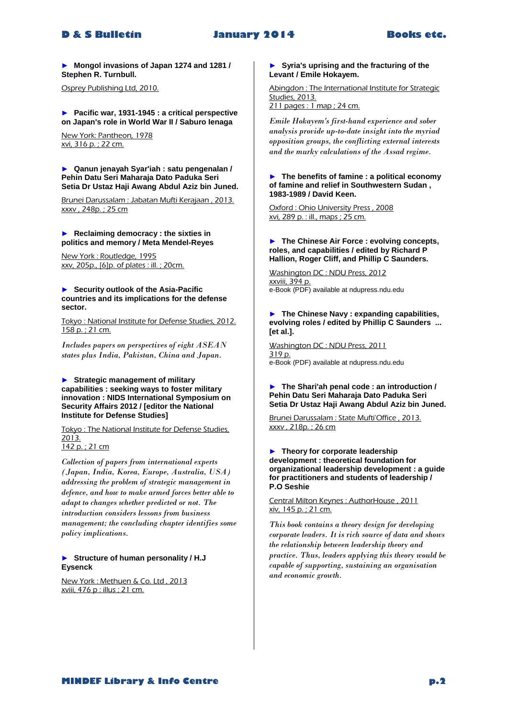# **D & S Bulletin January 2014 Books etc.**

► **Mongol invasions of Japan 1274 and 1281 / Stephen R. Turnbull.**

Osprey Publishing Ltd, 2010.

► **Pacific war, 1931-1945 : a critical perspective on Japan's role in World War II / Saburo Ienaga**

New York: Pantheon, 1978 xvi, 316 p. ; 22 cm.

► **Qanun jenayah Syar'iah : satu pengenalan / Pehin Datu Seri Maharaja Dato Paduka Seri Setia Dr Ustaz Haji Awang Abdul Aziz bin Juned.**

Brunei Darussalam : Jabatan Mufti Kerajaan , 2013. xxxv , 248p. ; 25 cm

► **Reclaiming democracy : the sixties in politics and memory / Meta Mendel-Reyes**

New York : Routledge, 1995 xxv, 205p., [6]p. of plates : ill. ; 20cm.

► **Security outlook of the Asia-Pacific countries and its implications for the defense sector.**

Tokyo : National Institute for Defense Studies, 2012. 158 p.; 21 cm.

*Includes papers on perspectives of eight ASEAN states plus India, Pakistan, China and Japan.* 

► **Strategic management of military capabilities : seeking ways to foster military innovation : NIDS International Symposium on Security Affairs 2012 / [editor the National Institute for Defense Studies]**

Tokyo : The National Institute for Defense Studies, 2013. 142 p. ; 21 cm

*Collection of papers from international experts (Japan, India, Korea, Europe, Australia, USA) addressing the problem of strategic management in defence, and how to make armed forces better able to adapt to changes whether predicted or not. The introduction considers lessons from business management; the concluding chapter identifies some policy implications.* 

# ► **Structure of human personality / H.J Eysenck**

New York : Methuen & Co. Ltd , 2013 xviii, 476 p : illus ; 21 cm.

# ► **Syria's uprising and the fracturing of the Levant / Emile Hokayem.**

Abingdon : The International Institute for Strategic Studies, 2013.

211 pages : 1 map ; 24 cm.

*Emile Hokayem's first-hand experience and sober analysis provide up-to-date insight into the myriad opposition groups, the conflicting external interests and the murky calculations of the Assad regime.* 

# ► **The benefits of famine : a political economy of famine and relief in Southwestern Sudan , 1983-1989 / David Keen.**

Oxford : Ohio University Press , 2008 xvi, 289 p. : ill., maps ; 25 cm.

# ► **The Chinese Air Force : evolving concepts, roles, and capabilities / edited by Richard P Hallion, Roger Cliff, and Phillip C Saunders.**

Washington DC : NDU Press, 2012 xxviii, 394 p. e-Book (PDF) available at ndupress.ndu.edu

► **The Chinese Navy : expanding capabilities, evolving roles / edited by Phillip C Saunders ... [et al.].**

Washington DC : NDU Press, 2011 319 p. e-Book (PDF) available at ndupress.ndu.edu

# ► **The Shari'ah penal code : an introduction / Pehin Datu Seri Maharaja Dato Paduka Seri Setia Dr Ustaz Haji Awang Abdul Aziz bin Juned.**

Brunei Darussalam : State Mufti'Office , 2013. xxxv , 218p. ; 26 cm

# ► **Theory for corporate leadership development : theoretical foundation for organizational leadership development : a guide for practitioners and students of leadership / P.O Seshie**

Central Milton Keynes : AuthorHouse , 2011 xiv, 145 p. ; 21 cm.

*This book contains a theory design for developing corporate leaders. It is rich source of data and shows the relationship between leadership theory and practice. Thus, leaders applying this theory would be capable of supporting, sustaining an organisation and economic growth.*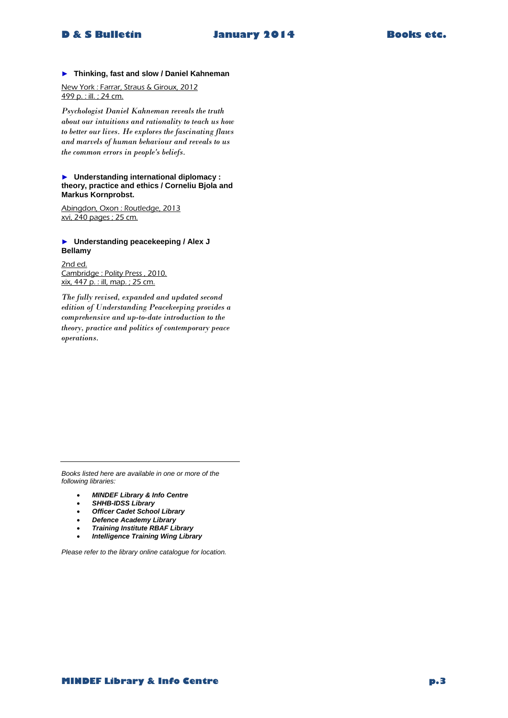# **D & S Bulletin January 2014 Books etc.**

### ► **Thinking, fast and slow / Daniel Kahneman**

New York : Farrar, Straus & Giroux, 2012 499 p. : ill. ; 24 cm.

*Psychologist Daniel Kahneman reveals the truth about our intuitions and rationality to teach us how to better our lives. He explores the fascinating flaws and marvels of human behaviour and reveals to us the common errors in people's beliefs.* 

### ► **Understanding international diplomacy : theory, practice and ethics / Corneliu Bjola and Markus Kornprobst.**

Abingdon, Oxon : Routledge, 2013 xvi, 240 pages ; 25 cm.

# ► **Understanding peacekeeping / Alex J Bellamy**

2nd ed. Cambridge : Polity Press , 2010. xix, 447 p. : ill, map. ; 25 cm.

*The fully revised, expanded and updated second edition of Understanding Peacekeeping provides a comprehensive and up-to-date introduction to the theory, practice and politics of contemporary peace operations.* 

*Books listed here are available in one or more of the following libraries:*

- *MINDEF Library & Info Centre*
- *SHHB-IDSS Library*
- *Officer Cadet School Library*
- *Defence Academy Library*
- *Training Institute RBAF Library*
- *Intelligence Training Wing Library*

*Please refer to the library online catalogue for location.*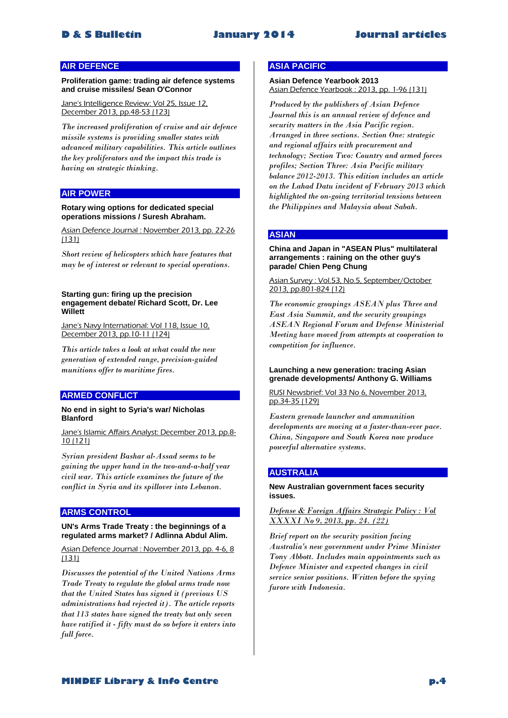# **AIR DEFENCE**

**Proliferation game: trading air defence systems and cruise missiles/ Sean O'Connor**

Jane's Intelligence Review: Vol 25, Issue 12, December 2013, pp.48-53 (123)

*The increased proliferation of cruise and air defence missile systems is providing smaller states with advanced military capabilities. This article outlines the key proliferators and the impact this trade is having on strategic thinking.* 

# **AIR POWER**

### **Rotary wing options for dedicated special operations missions / Suresh Abraham.**

Asian Defence Journal : November 2013, pp. 22-26 (131)

*Short review of helicopters which have features that may be of interest or relevant to special operations.* 

### **Starting gun: firing up the precision engagement debate/ Richard Scott, Dr. Lee Willett**

Jane's Navy International: Vol 118, Issue 10, December 2013, pp.10-11 (124)

*This article takes a look at what could the new generation of extended range, precision-guided munitions offer to maritime fires.* 

# **ARMED CONFLICT**

# **No end in sight to Syria's war/ Nicholas Blanford**

Jane's Islamic Affairs Analyst: December 2013, pp.8- 10 (121)

*Syrian president Bashar al-Assad seems to be gaining the upper hand in the two-and-a-half year civil war. This article examines the future of the conflict in Syria and its spillover into Lebanon.* 

# **ARMS CONTROL**

# **UN's Arms Trade Treaty : the beginnings of a regulated arms market? / Adlinna Abdul Alim.**

Asian Defence Journal : November 2013, pp. 4-6, 8 (131)

*Discusses the potential of the United Nations Arms Trade Treaty to regulate the global arms trade now that the United States has signed it (previous US administrations had rejected it). The article reports that 113 states have signed the treaty but only seven have ratified it - fifty must do so before it enters into full force.* 

# **ASIA PACIFIC**

# **Asian Defence Yearbook 2013** Asian Defence Yearbook : 2013, pp. 1-96 (131)

*Produced by the publishers of Asian Defence Journal this is an annual review of defence and security matters in the Asia Pacific region. Arranged in three sections. Section One: strategic and regional affairs with procurement and technology; Section Two: Country and armed forces profiles; Section Three: Asia Pacific military balance 2012-2013. This edition includes an article on the Lahad Datu incident of February 2013 which highlighted the on-going territorial tensions between the Philippines and Malaysia about Sabah.* 

# **ASIAN**

### **China and Japan in "ASEAN Plus" multilateral arrangements : raining on the other guy's parade/ Chien Peng Chung**

# Asian Survey : Vol.53, No.5, September/October 2013, pp.801-824 (12)

*The economic groupings ASEAN plus Three and East Asia Summit, and the security groupings ASEAN Regional Forum and Defense Ministerial Meeting have moved from attempts at cooperation to competition for influence.* 

### **Launching a new generation: tracing Asian grenade developments/ Anthony G. Williams**

RUSI Newsbrief: Vol 33 No 6, November 2013, pp.34-35 (129)

*Eastern grenade launcher and ammunition developments are moving at a faster-than-ever pace. China, Singapore and South Korea now produce powerful alternative systems.* 

# **AUSTRALIA**

# **New Australian government faces security issues.**

*Defense & Foreign Affairs Strategic Policy : Vol XXXXI No 9, 2013, pp. 24. (22)*

*Brief report on the security position facing Australia's new government under Prime Minister Tony Abbott. Includes main appointments such as Defence Minister and expected changes in civil service senior positions. Written before the spying furore with Indonesia.*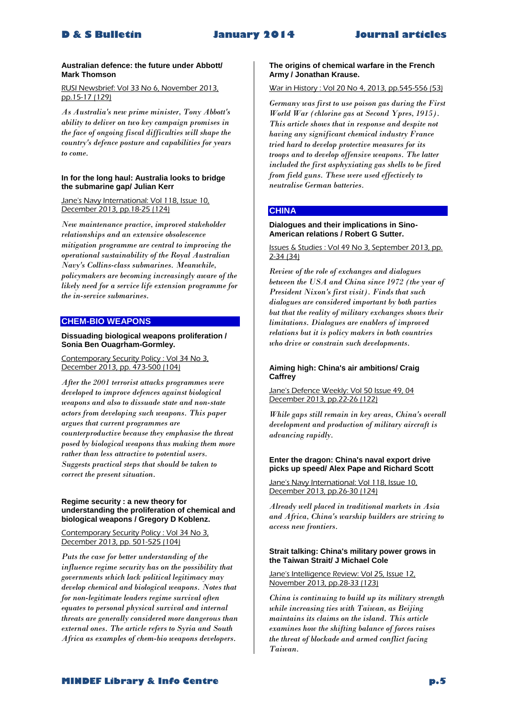# **Australian defence: the future under Abbott/ Mark Thomson**

# RUSI Newsbrief: Vol 33 No 6, November 2013, pp.15-17 (129)

*As Australia's new prime minister, Tony Abbott's ability to deliver on two key campaign promises in the face of ongoing fiscal difficulties will shape the country's defence posture and capabilities for years to come.* 

# **In for the long haul: Australia looks to bridge the submarine gap/ Julian Kerr**

### Jane's Navy International: Vol 118, Issue 10, December 2013, pp.18-25 (124)

*New maintenance practice, improved stakeholder relationships and an extensive obsolescence mitigation programme are central to improving the operational sustainability of the Royal Australian Navy's Collins-class submarines. Meanwhile, policymakers are becoming increasingly aware of the likely need for a service life extension programme for the in-service submarines.* 

# **CHEM-BIO WEAPONS**

# **Dissuading biological weapons proliferation / Sonia Ben Ouagrham-Gormley.**

### Contemporary Security Policy : Vol 34 No 3, December 2013, pp. 473-500 (104)

*After the 2001 terrorist attacks programmes were developed to improve defences against biological weapons and also to dissuade state and non-state actors from developing such weapons. This paper argues that current programmes are counterproductive because they emphasise the threat posed by biological weapons thus making them more rather than less attractive to potential users. Suggests practical steps that should be taken to correct the present situation.* 

### **Regime security : a new theory for understanding the proliferation of chemical and biological weapons / Gregory D Koblenz.**

# Contemporary Security Policy : Vol 34 No 3, December 2013, pp. 501-525 (104)

*Puts the case for better understanding of the influence regime security has on the possibility that governments which lack political legitimacy may develop chemical and biological weapons. Notes that for non-legitimate leaders regime survival often equates to personal physical survival and internal threats are generally considered more dangerous than external ones. The article refers to Syria and South Africa as examples of chem-bio weapons developers.* 

# **The origins of chemical warfare in the French Army / Jonathan Krause.**

# War in History : Vol 20 No 4, 2013, pp.545-556 (53)

*Germany was first to use poison gas during the First World War (chlorine gas at Second Ypres, 1915). This article shows that in response and despite not having any significant chemical industry France tried hard to develop protective measures for its troops and to develop offensive weapons. The latter included the first asphyxiating gas shells to be fired from field guns. These were used effectively to neutralise German batteries.* 

# **CHINA**

# **Dialogues and their implications in Sino-American relations / Robert G Sutter.**

# Issues & Studies : Vol 49 No 3, September 2013, pp. 2-34 (34)

*Review of the role of exchanges and dialogues between the USA and China since 1972 (the year of President Nixon's first visit). Finds that such dialogues are considered important by both parties but that the reality of military exchanges shows their limitations. Dialogues are enablers of improved relations but it is policy makers in both countries who drive or constrain such developments.* 

# **Aiming high: China's air ambitions/ Craig Caffrey**

### Jane's Defence Weekly: Vol 50 Issue 49, 04 December 2013, pp.22-26 (122)

*While gaps still remain in key areas, China's overall development and production of military aircraft is advancing rapidly.* 

# **Enter the dragon: China's naval export drive picks up speed/ Alex Pape and Richard Scott**

Jane's Navy International: Vol 118, Issue 10. December 2013, pp.26-30 (124)

*Already well placed in traditional markets in Asia and Africa, China's warship builders are striving to access new frontiers.* 

# **Strait talking: China's military power grows in the Taiwan Strait/ J Michael Cole**

# Jane's Intelligence Review: Vol 25, Issue 12, November 2013, pp.28-33 (123)

*China is continuing to build up its military strength while increasing ties with Taiwan, as Beijing maintains its claims on the island. This article examines how the shifting balance of forces raises the threat of blockade and armed conflict facing Taiwan.*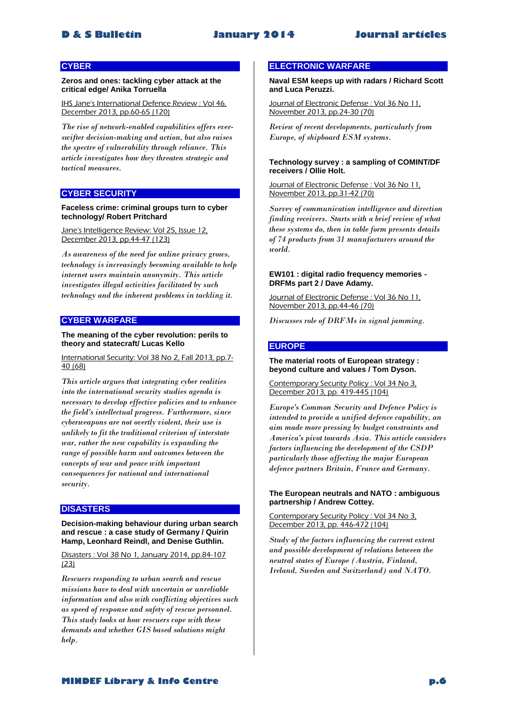# **CYBER**

**Zeros and ones: tackling cyber attack at the critical edge/ Anika Torruella**

IHS Jane's International Defence Review : Vol 46, December 2013, pp.60-65 (120)

*The rise of network-enabled capabilities offers everswifter decision-making and action, but also raises the spectre of vulnerability through reliance. This article investigates how they threaten strategic and tactical measures.* 

# **CYBER SECURITY**

### **Faceless crime: criminal groups turn to cyber technology/ Robert Pritchard**

Jane's Intelligence Review: Vol 25, Issue 12, December 2013, pp.44-47 (123)

*As awareness of the need for online privacy grows, technology is increasingly becoming available to help internet users maintain anonymity. This article investigates illegal activities facilitated by such technology and the inherent problems in tackling it.* 

# **CYBER WARFARE**

# **The meaning of the cyber revolution: perils to theory and statecraft/ Lucas Kello**

# International Security: Vol 38 No 2, Fall 2013, pp.7- 40 (68)

*This article argues that integrating cyber realities into the international security studies agenda is necessary to develop effective policies and to enhance the field's intellectual progress. Furthermore, since cyberweapons are not overtly violent, their use is unlikely to fit the traditional criterion of interstate war, rather the new capability is expanding the range of possible harm and outcomes between the concepts of war and peace with important consequences for national and international security.* 

# **DISASTERS**

### **Decision-making behaviour during urban search and rescue : a case study of Germany / Quirin Hamp, Leonhard Reindl, and Denise Guthlin.**

Disasters : Vol 38 No 1, January 2014, pp.84-107 (23)

*Rescuers responding to urban search and rescue missions have to deal with uncertain or unreliable information and also with conflicting objectives such as speed of response and safety of rescue personnel. This study looks at how rescuers cope with these demands and whether GIS based solutions might help.* 

# **ELECTRONIC WARFARE**

**Naval ESM keeps up with radars / Richard Scott and Luca Peruzzi.**

Journal of Electronic Defense : Vol 36 No 11, November 2013, pp.24-30 (70)

*Review of recent developments, particularly from Europe, of shipboard ESM systems.* 

### **Technology survey : a sampling of COMINT/DF receivers / Ollie Holt.**

Journal of Electronic Defense : Vol 36 No 11, November 2013, pp.31-42 (70)

*Survey of communication intelligence and direction finding receivers. Starts with a brief review of what these systems do, then in table form presents details of 74 products from 31 manufacturers around the world.* 

# **EW101 : digital radio frequency memories - DRFMs part 2 / Dave Adamy.**

Journal of Electronic Defense : Vol 36 No 11, November 2013, pp.44-46 (70)

*Discusses role of DRFMs in signal jamming.* 

### **EUROPE**

### **The material roots of European strategy : beyond culture and values / Tom Dyson.**

Contemporary Security Policy : Vol 34 No 3, December 2013, pp. 419-445 (104)

*Europe's Common Security and Defence Policy is intended to provide a unified defence capability, an aim made more pressing by budget constraints and America's pivot towards Asia. This article considers factors influencing the development of the CSDP particularly those affecting the major European defence partners Britain, France and Germany.* 

### **The European neutrals and NATO : ambiguous partnership / Andrew Cottey.**

Contemporary Security Policy : Vol 34 No 3, December 2013, pp. 446-472 (104)

*Study of the factors influencing the current extent and possible development of relations between the neutral states of Europe (Austria, Finland, Ireland, Sweden and Switzerland) and NATO.*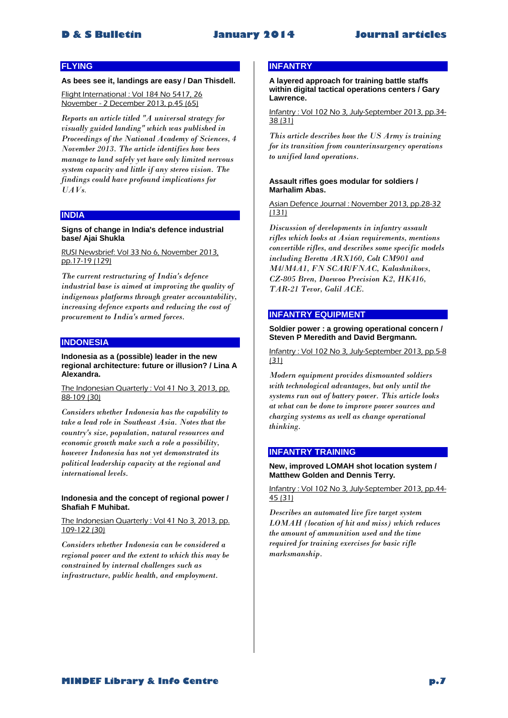# **FLYING**

### **As bees see it, landings are easy / Dan Thisdell.**

Flight International : Vol 184 No 5417, 26 November - 2 December 2013, p.45 (65)

*Reports an article titled "A universal strategy for visually guided landing" which was published in Proceedings of the National Academy of Sciences, 4 November 2013. The article identifies how bees manage to land safely yet have only limited nervous system capacity and little if any stereo vision. The findings could have profound implications for UAVs*.

### **INDIA**

### **Signs of change in India's defence industrial base/ Ajai Shukla**

RUSI Newsbrief: Vol 33 No 6, November 2013, pp.17-19 (129)

*The current restructuring of India's defence industrial base is aimed at improving the quality of indigenous platforms through greater accountability, increasing defence exports and reducing the cost of procurement to India's armed forces.* 

# **INDONESIA**

### **Indonesia as a (possible) leader in the new regional architecture: future or illusion? / Lina A Alexandra.**

The Indonesian Quarterly : Vol 41 No 3, 2013, pp. 88-109 (30)

*Considers whether Indonesia has the capability to take a lead role in Southeast Asia. Notes that the country's size, population, natural resources and economic growth make such a role a possibility, however Indonesia has not yet demonstrated its political leadership capacity at the regional and international levels.* 

# **Indonesia and the concept of regional power / Shafiah F Muhibat.**

The Indonesian Quarterly : Vol 41 No 3, 2013, pp. 109-122 (30)

*Considers whether Indonesia can be considered a regional power and the extent to which this may be constrained by internal challenges such as infrastructure, public health, and employment.* 

# **INFANTRY**

**A layered approach for training battle staffs within digital tactical operations centers / Gary Lawrence.**

Infantry : Vol 102 No 3, July-September 2013, pp.34- 38 (31)

*This article describes how the US Army is training for its transition from counterinsurgency operations to unified land operations.* 

### **Assault rifles goes modular for soldiers / Marhalim Abas.**

Asian Defence Journal : November 2013, pp.28-32 (131)

*Discussion of developments in infantry assault rifles which looks at Asian requirements, mentions convertible rifles, and describes some specific models including Beretta ARX160, Colt CM901 and M4/M4A1, FN SCAR/FNAC, Kalashnikovs, CZ-805 Bren, Daewoo Precision K2, HK416, TAR-21 Tevor, Galil ACE.* 

# **INFANTRY EQUIPMENT**

# **Soldier power : a growing operational concern / Steven P Meredith and David Bergmann.**

Infantry : Vol 102 No 3, July-September 2013, pp.5-8 (31)

*Modern equipment provides dismounted soldiers with technological advantages, but only until the systems run out of battery power. This article looks at what can be done to improve power sources and charging systems as well as change operational thinking.* 

# **INFANTRY TRAINING**

### **New, improved LOMAH shot location system / Matthew Golden and Dennis Terry.**

Infantry : Vol 102 No 3, July-September 2013, pp.44- 45 (31)

*Describes an automated live fire target system LOMAH (location of hit and miss) which reduces the amount of ammunition used and the time required for training exercises for basic rifle marksmanship.*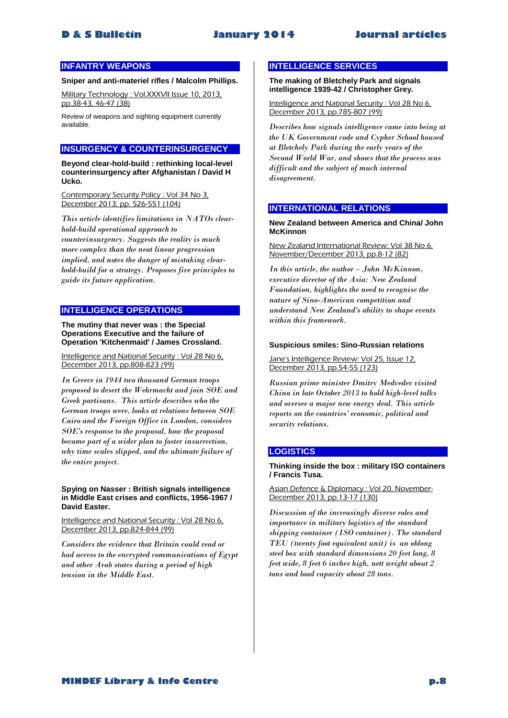# **INFANTRY WEAPONS**

# **Sniper and anti-materiel rifles / Malcolm Phillips.**

Military Technology : Vol.XXXVII Issue 10, 2013, pp.38-43, 46-47 (38)

Review of weapons and sighting equipment currently available.

# **INSURGENCY & COUNTERINSURGENCY**

**Beyond clear-hold-build : rethinking local-level counterinsurgency after Afghanistan / David H Ucko.**

Contemporary Security Policy : Vol 34 No 3, December 2013, pp. 526-551 (104)

*This article identifies limitations in NATOs clearhold-build operational approach to counterinsurgency. Suggests the reality is much more complex than the neat linear progression implied, and notes the danger of mistaking clearhold-build for a strategy. Proposes five principles to guide its future application.* 

# **INTELLIGENCE OPERATIONS**

**The mutiny that never was : the Special Operations Executive and the failure of Operation 'Kitchenmaid' / James Crossland.**

Intelligence and National Security : Vol 28 No 6, December 2013, pp.808-823 (99)

*In Greece in 1944 two thousand German troops proposed to desert the Wehrmacht and join SOE and Greek partisans. This article describes who the German troops were, looks at relations between SOE Cairo and the Foreign Office in London, considers SOE's response to the proposal, how the proposal became part of a wider plan to foster insurrection, why time scales slipped, and the ultimate failure of the entire project.* 

### **Spying on Nasser : British signals intelligence in Middle East crises and conflicts, 1956-1967 / David Easter.**

Intelligence and National Security : Vol 28 No 6, December 2013, pp.824-844 (99)

*Considers the evidence that Britain could read or had access to the encrypted communications of Egypt and other Arab states during a period of high tension in the Middle East.* 

# **INTELLIGENCE SERVICES**

**The making of Bletchely Park and signals intelligence 1939-42 / Christopher Grey.**

Intelligence and National Security : Vol 28 No 6, December 2013, pp.785-807 (99)

*Describes how signals intelligence came into being at the UK Government code and Cypher School housed at Bletchely Park during the early years of the Second World War, and shows that the process was difficult and the subject of much internal disagreement.* 

# **INTERNATIONAL RELATIONS**

**New Zealand between America and China/ John McKinnon**

New Zealand International Review: Vol 38 No 6, November/December 2013, pp.8-12 (82)

*In this article, the author – John McKinnon, executive director of the Asia: New Zealand Foundation, highlights the need to recognise the nature of Sino-American competition and understand New Zealand's ability to shape events within this framework.* 

### **Suspicious smiles: Sino-Russian relations**

Jane's Intelligence Review: Vol 25, Issue 12, December 2013, pp.54-55 (123)

*Russian prime minister Dmitry Medvedev visited China in late October 2013 to hold high-level talks and oversee a major new energy deal. This article reports on the countries' economic, political and security relations.* 

# **LOGISTICS**

**Thinking inside the box : military ISO containers / Francis Tusa.**

Asian Defence & Diplomacy : Vol 20, November-December 2013, pp.13-17 (130)

*Discussion of the increasingly diverse roles and importance in military logistics of the standard shipping container (ISO container). The standard TEU (twenty foot equivalent unit) is an oblong steel box with standard dimensions 20 feet long, 8 feet wide, 8 feet 6 inches high, nett weight about 2 tons and load capacity about 28 tons.*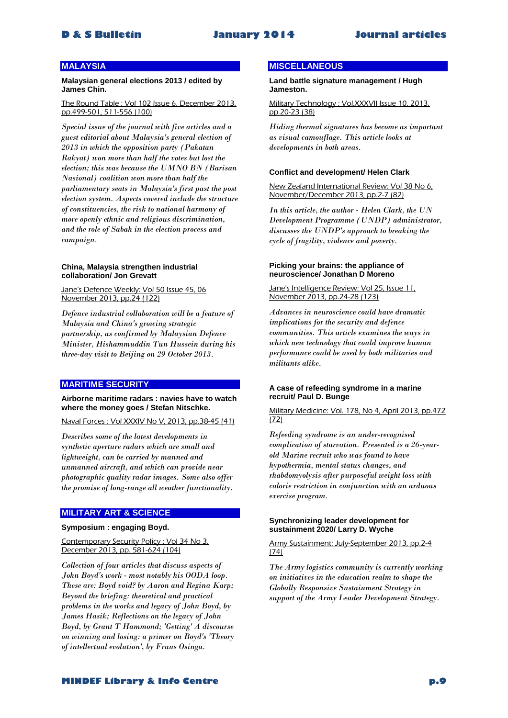# **MALAYSIA**

**Malaysian general elections 2013 / edited by James Chin.**

The Round Table : Vol 102 Issue 6, December 2013, pp.499-501, 511-556 (100)

*Special issue of the journal with five articles and a guest editorial about Malaysia's general election of 2013 in which the opposition party (Pakatan Rakyat) won more than half the votes but lost the election; this was because the UMNO BN (Barisan Nasional) coalition won more than half the parliamentary seats in Malaysia's first past the post election system. Aspects covered include the structure of constituencies, the risk to national harmony of more openly ethnic and religious discrimination, and the role of Sabah in the election process and campaign.* 

### **China, Malaysia strengthen industrial collaboration/ Jon Grevatt**

Jane's Defence Weekly: Vol 50 Issue 45, 06 November 2013, pp.24 (122)

*Defence industrial collaboration will be a feature of Malaysia and China's growing strategic partnership, as confirmed by Malaysian Defence Minister, Hishammuddin Tun Hussein during his three-day visit to Beijing on 29 October 2013.* 

# **MARITIME SECURITY**

**Airborne maritime radars : navies have to watch where the money goes / Stefan Nitschke.**

Naval Forces : Vol XXXIV No V, 2013, pp.38-45 (41)

*Describes some of the latest developments in synthetic aperture radars which are small and lightweight, can be carried by manned and unmanned aircraft, and which can provide near photographic quality radar images. Some also offer the promise of long-range all weather functionality.* 

# **MILITARY ART & SCIENCE**

# **Symposium : engaging Boyd.**

Contemporary Security Policy : Vol 34 No 3, December 2013, pp. 581-624 (104)

*Collection of four articles that discuss aspects of John Boyd's work - most notably his OODA loop. These are: Boyd void? by Aaron and Regina Karp; Beyond the briefing: theoretical and practical problems in the works and legacy of John Boyd, by James Hasik; Reflections on the legacy of John Boyd, by Grant T Hammond; 'Getting' A discourse on winning and losing: a primer on Boyd's 'Theory of intellectual evolution', by Frans Osinga.* 

# **MISCELLANEOUS**

**Land battle signature management / Hugh Jameston.**

Military Technology : Vol.XXXVII Issue 10, 2013, pp.20-23 (38)

*Hiding thermal signatures has become as important as visual camouflage. This article looks at developments in both areas.* 

# **Conflict and development/ Helen Clark**

New Zealand International Review: Vol 38 No 6, November/December 2013, pp.2-7 (82)

*In this article, the author - Helen Clark, the UN Development Programme (UNDP) administrator, discusses the UNDP's approach to breaking the cycle of fragility, violence and poverty.* 

### **Picking your brains: the appliance of neuroscience/ Jonathan D Moreno**

Jane's Intelligence Review: Vol 25, Issue 11, November 2013, pp.24-28 (123)

*Advances in neuroscience could have dramatic implications for the security and defence communities. This article examines the ways in which new technology that could improve human performance could be used by both militaries and militants alike.* 

# **A case of refeeding syndrome in a marine recruit/ Paul D. Bunge**

Military Medicine: Vol. 178, No 4, April 2013, pp.472 (72)

*Refeeding syndrome is an under-recognised complication of starvation. Presented is a 26-yearold Marine recruit who was found to have hypothermia, mental status changes, and rhabdomyolysis after purposeful weight loss with calorie restriction in conjunction with an arduous exercise program.* 

### **Synchronizing leader development for sustainment 2020/ Larry D. Wyche**

Army Sustainment: July-September 2013, pp.2-4 (74)

*The Army logistics community is currently working on initiatives in the education realm to shape the Globally Responsive Sustainment Strategy in support of the Army Leader Development Strategy.* 

**MINDEF Library & Info Centre p.9**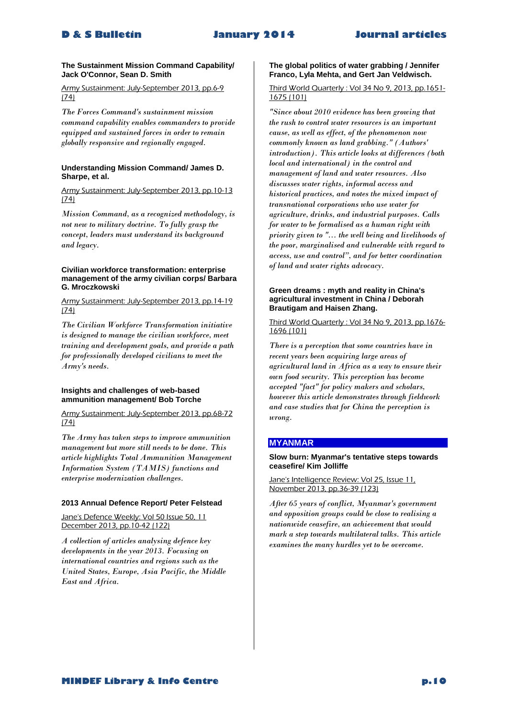# **The Sustainment Mission Command Capability/ Jack O'Connor, Sean D. Smith**

Army Sustainment: July-September 2013, pp.6-9 (74)

*The Forces Command's sustainment mission command capability enables commanders to provide equipped and sustained forces in order to remain globally responsive and regionally engaged.* 

# **Understanding Mission Command/ James D. Sharpe, et al.**

Army Sustainment: July-September 2013, pp.10-13 (74)

*Mission Command, as a recognized methodology, is not new to military doctrine. To fully grasp the concept, leaders must understand its background and legacy.* 

# **Civilian workforce transformation: enterprise management of the army civilian corps/ Barbara G. Mroczkowski**

Army Sustainment: July-September 2013, pp.14-19 (74)

*The Civilian Workforce Transformation initiative is designed to manage the civilian workforce, meet training and development goals, and provide a path for professionally developed civilians to meet the Army's needs.* 

# **Insights and challenges of web-based ammunition management/ Bob Torche**

Army Sustainment: July-September 2013, pp.68-72 (74)

*The Army has taken steps to improve ammunition management but more still needs to be done. This article highlights Total Ammunition Management Information System (TAMIS) functions and enterprise modernization challenges.* 

# **2013 Annual Defence Report/ Peter Felstead**

Jane's Defence Weekly: Vol 50 Issue 50, 11 December 2013, pp.10-42 (122)

*A collection of articles analysing defence key developments in the year 2013. Focusing on international countries and regions such as the United States, Europe, Asia Pacific, the Middle East and Africa.* 

# **The global politics of water grabbing / Jennifer Franco, Lyla Mehta, and Gert Jan Veldwisch.**

# Third World Quarterly : Vol 34 No 9, 2013, pp.1651- 1675 (101)

*"Since about 2010 evidence has been growing that the rush to control water resources is an important cause, as well as effect, of the phenomenon now commonly known as land grabbing." (Authors' introduction). This article looks at differences (both local and international) in the control and management of land and water resources. Also discusses water rights, informal access and historical practices, and notes the mixed impact of transnational corporations who use water for agriculture, drinks, and industrial purposes. Calls for water to be formalised as a human right with priority given to "... the well being and livelihoods of the poor, marginalised and vulnerable with regard to access, use and control", and for better coordination of land and water rights advocacy.*

# **Green dreams : myth and reality in China's agricultural investment in China / Deborah Brautigam and Haisen Zhang.**

Third World Quarterly : Vol 34 No 9, 2013, pp.1676- 1696 (101)

*There is a perception that some countries have in recent years been acquiring large areas of agricultural land in Africa as a way to ensure their own food security. This perception has become accepted "fact" for policy makers and scholars, however this article demonstrates through fieldwork and case studies that for China the perception is wrong.* 

# **MYANMAR**

# **Slow burn: Myanmar's tentative steps towards ceasefire/ Kim Jolliffe**

Jane's Intelligence Review: Vol 25, Issue 11, November 2013, pp.36-39 (123)

*After 65 years of conflict, Myanmar's government and opposition groups could be close to realising a nationwide ceasefire, an achievement that would mark a step towards multilateral talks. This article examines the many hurdles yet to be overcome.*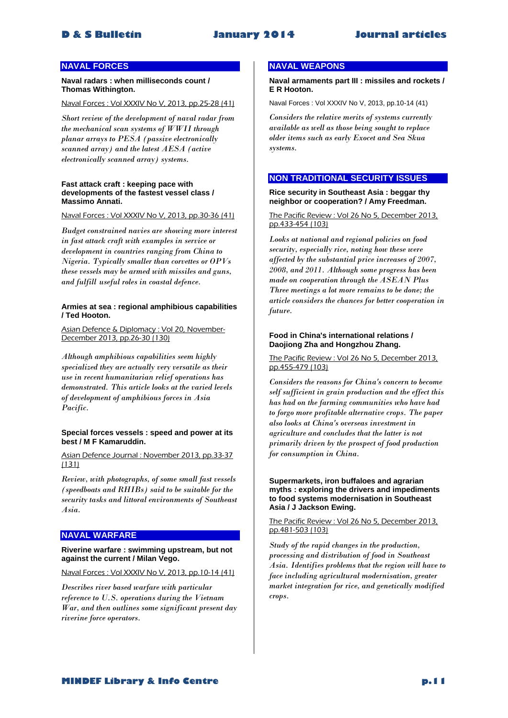# **NAVAL FORCES**

**Naval radars : when milliseconds count / Thomas Withington.**

Naval Forces : Vol XXXIV No V, 2013, pp.25-28 (41)

*Short review of the development of naval radar from the mechanical scan systems of WWII through planar arrays to PESA (passive electronically scanned array) and the latest AESA (active electronically scanned array) systems.* 

### **Fast attack craft : keeping pace with developments of the fastest vessel class / Massimo Annati.**

Naval Forces : Vol XXXIV No V, 2013, pp.30-36 (41)

*Budget constrained navies are showing more interest in fast attack craft with examples in service or development in countries ranging from China to Nigeria. Typically smaller than corvettes or OPVs these vessels may be armed with missiles and guns, and fulfill useful roles in coastal defence.* 

# **Armies at sea : regional amphibious capabilities / Ted Hooton.**

Asian Defence & Diplomacy : Vol 20, November-December 2013, pp.26-30 (130)

*Although amphibious capabilities seem highly specialized they are actually very versatile as their use in recent humanitarian relief operations has demonstrated. This article looks at the varied levels of development of amphibious forces in Asia Pacific.*

# **Special forces vessels : speed and power at its best / M F Kamaruddin.**

Asian Defence Journal : November 2013, pp.33-37 (131)

*Review, with photographs, of some small fast vessels (speedboats and RHIBs) said to be suitable for the security tasks and littoral environments of Southeast Asia.* 

# **NAVAL WARFARE**

# **Riverine warfare : swimming upstream, but not against the current / Milan Vego.**

Naval Forces : Vol XXXIV No V, 2013, pp.10-14 (41)

*Describes river based warfare with particular reference to U.S. operations during the Vietnam War, and then outlines some significant present day riverine force operators.* 

# **NAVAL WEAPONS**

**Naval armaments part III : missiles and rockets / E R Hooton.**

Naval Forces : Vol XXXIV No V, 2013, pp.10-14 (41)

*Considers the relative merits of systems currently available as well as those being sought to replace older items such as early Exocet and Sea Skua systems.* 

# **NON TRADITIONAL SECURITY ISSUES**

**Rice security in Southeast Asia : beggar thy neighbor or cooperation? / Amy Freedman.**

The Pacific Review : Vol 26 No 5, December 2013, pp.433-454 (103)

*Looks at national and regional policies on food security, especially rice, noting how these were affected by the substantial price increases of 2007, 2008, and 2011. Although some progress has been made on cooperation through the ASEAN Plus Three meetings a lot more remains to be done; the article considers the chances for better cooperation in future.* 

# **Food in China's international relations / Daojiong Zha and Hongzhou Zhang.**

# The Pacific Review : Vol 26 No 5, December 2013, pp.455-479 (103)

*Considers the reasons for China's concern to become self sufficient in grain production and the effect this has had on the farming communities who have had to forgo more profitable alternative crops. The paper also looks at China's overseas investment in agriculture and concludes that the latter is not primarily driven by the prospect of food production for consumption in China.* 

### **Supermarkets, iron buffaloes and agrarian myths : exploring the drivers and impediments to food systems modernisation in Southeast Asia / J Jackson Ewing.**

The Pacific Review : Vol 26 No 5, December 2013, pp.481-503 (103)

*Study of the rapid changes in the production, processing and distribution of food in Southeast Asia. Identifies problems that the region will have to face including agricultural modernisation, greater market integration for rice, and genetically modified crops.*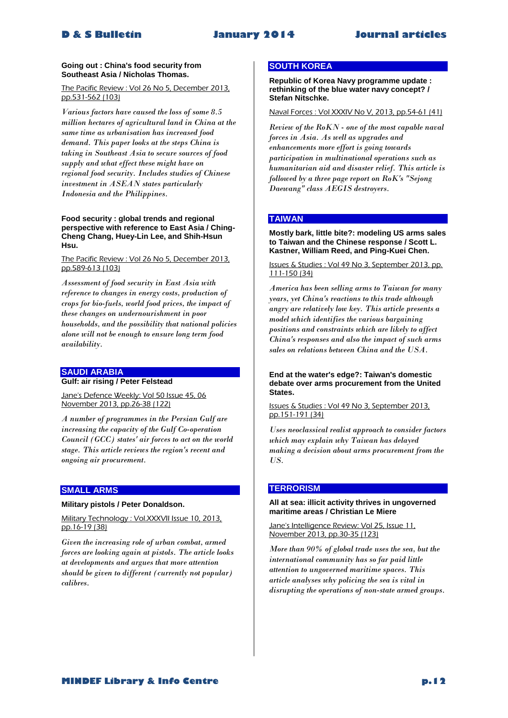# **Going out : China's food security from Southeast Asia / Nicholas Thomas.**

### The Pacific Review : Vol 26 No 5, December 2013, pp.531-562 (103)

*Various factors have caused the loss of some 8.5 million hectares of agricultural land in China at the same time as urbanisation has increased food demand. This paper looks at the steps China is taking in Southeast Asia to secure sources of food supply and what effect these might have on regional food security. Includes studies of Chinese investment in ASEAN states particularly Indonesia and the Philippines.* 

# **Food security : global trends and regional perspective with reference to East Asia / Ching-Cheng Chang, Huey-Lin Lee, and Shih-Hsun Hsu.**

# The Pacific Review : Vol 26 No 5, December 2013, pp.589-613 (103)

*Assessment of food security in East Asia with reference to changes in energy costs, production of crops for bio-fuels, world food prices, the impact of these changes on undernourishment in poor households, and the possibility that national policies alone will not be enough to ensure long term food availability.* 

# **SAUDI ARABIA**

**Gulf: air rising / Peter Felstead**

Jane's Defence Weekly: Vol 50 Issue 45, 06 November 2013, pp.26-38 (122)

*A number of programmes in the Persian Gulf are increasing the capacity of the Gulf Co-operation Council (GCC) states' air forces to act on the world stage. This article reviews the region's recent and ongoing air procurement.* 

# **SMALL ARMS**

**Military pistols / Peter Donaldson.**

Military Technology : Vol.XXXVII Issue 10, 2013, pp.16-19 (38)

*Given the increasing role of urban combat, armed forces are looking again at pistols. The article looks at developments and argues that more attention should be given to different (currently not popular) calibres.* 

# **SOUTH KOREA**

**Republic of Korea Navy programme update : rethinking of the blue water navy concept? / Stefan Nitschke.**

# Naval Forces : Vol XXXIV No V, 2013, pp.54-61 (41)

*Review of the RoKN - one of the most capable naval forces in Asia. As well as upgrades and enhancements more effort is going towards participation in multinational operations such as humanitarian aid and disaster relief. This article is followed by a three page report on RoK's "Sejong Daewang" class AEGIS destroyers.* 

# **TAIWAN**

### **Mostly bark, little bite?: modeling US arms sales to Taiwan and the Chinese response / Scott L. Kastner, William Reed, and Ping-Kuei Chen.**

# Issues & Studies : Vol 49 No 3, September 2013, pp. 111-150 (34)

*America has been selling arms to Taiwan for many years, yet China's reactions to this trade although angry are relatively low key. This article presents a model which identifies the various bargaining positions and constraints which are likely to affect China's responses and also the impact of such arms sales on relations between China and the USA.* 

**End at the water's edge?: Taiwan's domestic debate over arms procurement from the United States.**

Issues & Studies : Vol 49 No 3, September 2013, pp.151-191 (34)

*Uses neoclassical realist approach to consider factors which may explain why Taiwan has delayed making a decision about arms procurement from the US.* 

# **TERRORISM**

# **All at sea: illicit activity thrives in ungoverned maritime areas / Christian Le Miere**

Jane's Intelligence Review: Vol 25, Issue 11, November 2013, pp.30-35 (123)

*More than 90% of global trade uses the sea, but the international community has so far paid little attention to ungoverned maritime spaces. This article analyses why policing the sea is vital in disrupting the operations of non-state armed groups.*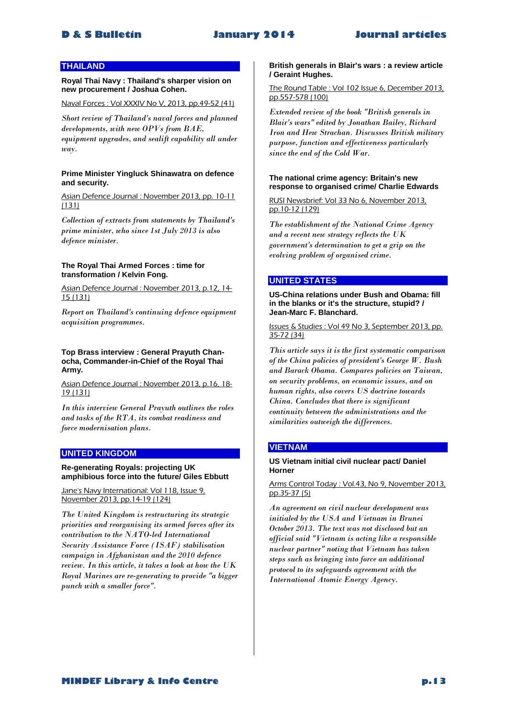# **THAILAND**

**Royal Thai Navy : Thailand's sharper vision on new procurement / Joshua Cohen.**

Naval Forces : Vol XXXIV No V, 2013, pp.49-52 (41)

*Short review of Thailand's naval forces and planned developments, with new OPVs from BAE, equipment upgrades, and sealift capability all under way.* 

# **Prime Minister Yingluck Shinawatra on defence and security.**

Asian Defence Journal : November 2013, pp. 10-11 (131)

*Collection of extracts from statements by Thailand's prime minister, who since 1st July 2013 is also defence minister.* 

# **The Royal Thai Armed Forces : time for transformation / Kelvin Fong.**

Asian Defence Journal : November 2013, p.12, 14- 15 (131)

*Report on Thailand's continuing defence equipment acquisition programmes.* 

# **Top Brass interview : General Prayuth Chanocha, Commander-in-Chief of the Royal Thai Army.**

Asian Defence Journal : November 2013, p.16, 18- 19 (131)

*In this interview General Prayuth outlines the roles and tasks of the RTA, its combat readiness and force modernisation plans.* 

# **UNITED KINGDOM**

# **Re-generating Royals: projecting UK amphibious force into the future/ Giles Ebbutt**

Jane's Navy International: Vol 118, Issue 9, November 2013, pp.14-19 (124)

*The United Kingdom is restructuring its strategic priorities and reorganising its armed forces after its contribution to the NATO-led International Security Assistance Force (ISAF) stabilisation campaign in Afghanistan and the 2010 defence review. In this article, it takes a look at how the UK Royal Marines are re-generating to provide "a bigger punch with a smaller force".* 

# **British generals in Blair's wars : a review article / Geraint Hughes.**

The Round Table : Vol 102 Issue 6, December 2013, pp.557-578 (100)

*Extended review of the book "British generals in Blair's wars" edited by Jonathan Bailey, Richard Iron and Hew Strachan. Discusses British military purpose, function and effectiveness particularly since the end of the Cold War.* 

### **The national crime agency: Britain's new response to organised crime/ Charlie Edwards**

RUSI Newsbrief: Vol 33 No 6, November 2013, pp.10-12 (129)

*The establishment of the National Crime Agency and a recent new strategy reflects the UK government's determination to get a grip on the evolving problem of organised crime.* 

# **UNITED STATES**

**US-China relations under Bush and Obama: fill in the blanks or it's the structure, stupid? / Jean-Marc F. Blanchard.**

Issues & Studies : Vol 49 No 3, September 2013, pp. 35-72 (34)

*This article says it is the first systematic comparison of the China policies of president's George W. Bush and Barack Obama. Compares policies on Taiwan, on security problems, on economic issues, and on human rights, also covers US doctrine towards China. Concludes that there is significant continuity between the administrations and the similarities outweigh the differences.* 

# **VIETNAM**

# **US Vietnam initial civil nuclear pact/ Daniel Horner**

Arms Control Today : Vol.43, No 9, November 2013, pp.35-37 (5)

*An agreement on civil nuclear development was initialed by the USA and Vietnam in Brunei October 2013. The text was not disclosed but an official said "Vietnam is acting like a responsible nuclear partner" noting that Vietnam has taken steps such as bringing into force an additional protocol to its safeguards agreement with the International Atomic Energy Agency.*